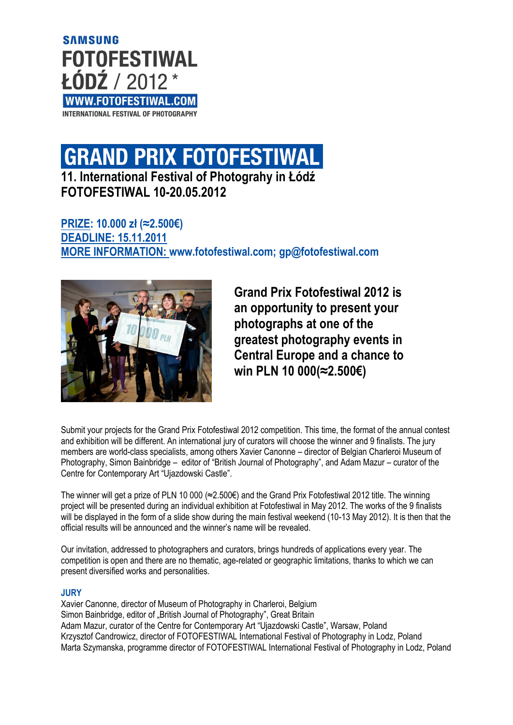**SAMSUNG FOTOFESTIWAL** ŁÓDŹ / 2012 WWW.FOTOFESTIWAL.COM INTERNATIONAL FESTIVAL OF PHOTOGRAPHY

# **GRAND PRIX FOTOFESTIWAL**

**11. International Festival of Photograhy in Łódź FOTOFESTIWAL 10-20.05.2012**

# **PRIZE: 10.000 zł (≈2.500€) DEADLINE: 15.11.2011 MORE INFORMATION: [www.fotofestiwal.com;](http://www.fotofestiwal.com/) [gp@fotofestiwal.com](mailto:grandprix@fotofestiwal.com)**



**Grand Prix Fotofestiwal 2012 is an opportunity to present your photographs at one of the greatest photography events in Central Europe and a chance to win PLN 10 000(≈2.500€)**

Submit your projects for the Grand Prix Fotofestiwal 2012 competition. This time, the format of the annual contest and exhibition will be different. An international jury of curators will choose the winner and 9 finalists. The jury members are world-class specialists, among others Xavier Canonne – director of Belgian Charleroi Museum of Photography, Simon Bainbridge – editor of "British Journal of Photography", and Adam Mazur – curator of the Centre for Contemporary Art "Ujazdowski Castle".

The winner will get a prize of PLN 10 000 (≈2.500€) and the Grand Prix Fotofestiwal 2012 title. The winning project will be presented during an individual exhibition at Fotofestiwal in May 2012. The works of the 9 finalists will be displayed in the form of a slide show during the main festival weekend (10-13 May 2012). It is then that the official results will be announced and the winner's name will be revealed.

Our invitation, addressed to photographers and curators, brings hundreds of applications every year. The competition is open and there are no thematic, age-related or geographic limitations, thanks to which we can present diversified works and personalities.

## **JURY**

Xavier Canonne, director of Museum of Photography in Charleroi, Belgium Simon Bainbridge, editor of "British Journal of Photography", Great Britain Adam Mazur, curator of the Centre for Contemporary Art "Ujazdowski Castle", Warsaw, Poland Krzysztof Candrowicz, director of FOTOFESTIWAL International Festival of Photography in Lodz, Poland Marta Szymanska, programme director of FOTOFESTIWAL International Festival of Photography in Lodz, Poland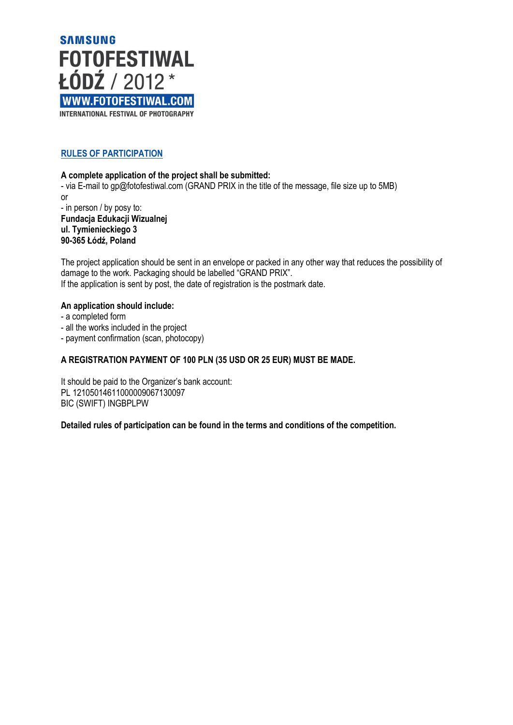

# **RULES OF PARTICIPATION**

#### **A complete application of the project shall be submitted:**

- via E-mail to gp@fotofestiwal.com (GRAND PRIX in the title of the message, file size up to 5MB) or

- in person / by posy to: **Fundacja Edukacji Wizualnej ul. Tymienieckiego 3 90-365 Łódź, Poland**

The project application should be sent in an envelope or packed in any other way that reduces the possibility of damage to the work. Packaging should be labelled "GRAND PRIX". If the application is sent by post, the date of registration is the postmark date.

#### **An application should include:**

- a completed form
- all the works included in the project
- payment confirmation (scan, photocopy)

## **A REGISTRATION PAYMENT OF 100 PLN (35 USD OR 25 EUR) MUST BE MADE.**

It should be paid to the Organizer's bank account: PL 12105014611000009067130097 BIC (SWIFT) INGBPLPW

**Detailed rules of participation can be found in the terms and conditions of the competition.**